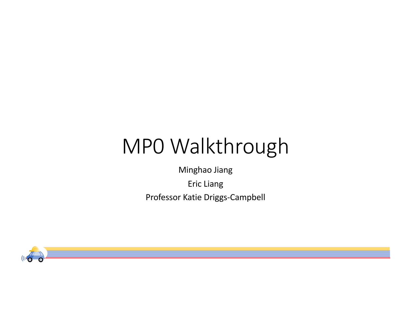## MP0 Walkthrough

Minghao Jiang

Eric Liang Professor Katie Driggs-Campbell

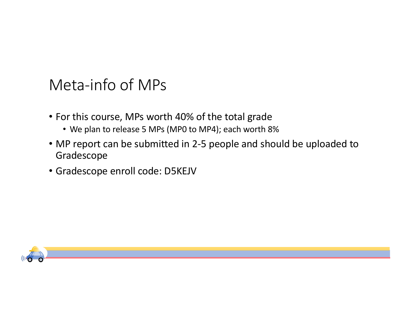## Meta-info of MPs

- For this course, MPs worth 40% of the total grade
	- We plan to release 5 MPs (MP0 to MP4); each worth 8%
- MP report can be submitted in 2-5 people and should be uploaded to Gradescope
- Gradescope enroll code: D5KEJV

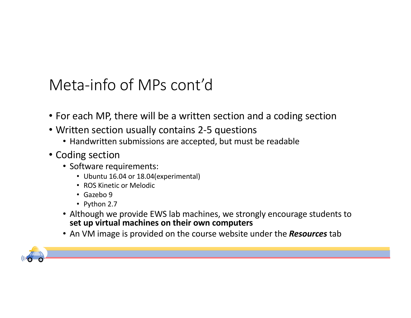## Meta-info of MPs cont'd

- For each MP, there will be a written section and a coding section
- Written section usually contains 2-5 questions
	- Handwritten submissions are accepted, but must be readable
- Coding section
	- Software requirements:
		- Ubuntu 16.04 or 18.04(experimental)
		- ROS Kinetic or Melodic
		- Gazebo 9
		- Python 2.7
	- Although we provide EWS lab machines, we strongly encourage students to **set up virtual machines on their own computers**
	- An VM image is provided on the course website under the *Resources* tab